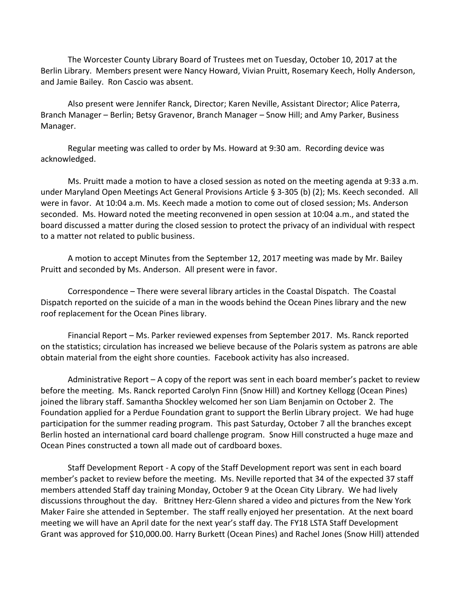The Worcester County Library Board of Trustees met on Tuesday, October 10, 2017 at the Berlin Library. Members present were Nancy Howard, Vivian Pruitt, Rosemary Keech, Holly Anderson, and Jamie Bailey. Ron Cascio was absent.

Also present were Jennifer Ranck, Director; Karen Neville, Assistant Director; Alice Paterra, Branch Manager – Berlin; Betsy Gravenor, Branch Manager – Snow Hill; and Amy Parker, Business Manager.

Regular meeting was called to order by Ms. Howard at 9:30 am. Recording device was acknowledged.

Ms. Pruitt made a motion to have a closed session as noted on the meeting agenda at 9:33 a.m. under Maryland Open Meetings Act General Provisions Article § 3-305 (b) (2); Ms. Keech seconded. All were in favor. At 10:04 a.m. Ms. Keech made a motion to come out of closed session; Ms. Anderson seconded. Ms. Howard noted the meeting reconvened in open session at 10:04 a.m., and stated the board discussed a matter during the closed session to protect the privacy of an individual with respect to a matter not related to public business.

A motion to accept Minutes from the September 12, 2017 meeting was made by Mr. Bailey Pruitt and seconded by Ms. Anderson. All present were in favor.

Correspondence – There were several library articles in the Coastal Dispatch. The Coastal Dispatch reported on the suicide of a man in the woods behind the Ocean Pines library and the new roof replacement for the Ocean Pines library.

Financial Report – Ms. Parker reviewed expenses from September 2017. Ms. Ranck reported on the statistics; circulation has increased we believe because of the Polaris system as patrons are able obtain material from the eight shore counties. Facebook activity has also increased.

Administrative Report – A copy of the report was sent in each board member's packet to review before the meeting. Ms. Ranck reported Carolyn Finn (Snow Hill) and Kortney Kellogg (Ocean Pines) joined the library staff. Samantha Shockley welcomed her son Liam Benjamin on October 2. The Foundation applied for a Perdue Foundation grant to support the Berlin Library project. We had huge participation for the summer reading program. This past Saturday, October 7 all the branches except Berlin hosted an international card board challenge program. Snow Hill constructed a huge maze and Ocean Pines constructed a town all made out of cardboard boxes.

Staff Development Report - A copy of the Staff Development report was sent in each board member's packet to review before the meeting. Ms. Neville reported that 34 of the expected 37 staff members attended Staff day training Monday, October 9 at the Ocean City Library. We had lively discussions throughout the day. Brittney Herz-Glenn shared a video and pictures from the New York Maker Faire she attended in September. The staff really enjoyed her presentation. At the next board meeting we will have an April date for the next year's staff day. The FY18 LSTA Staff Development Grant was approved for \$10,000.00. Harry Burkett (Ocean Pines) and Rachel Jones (Snow Hill) attended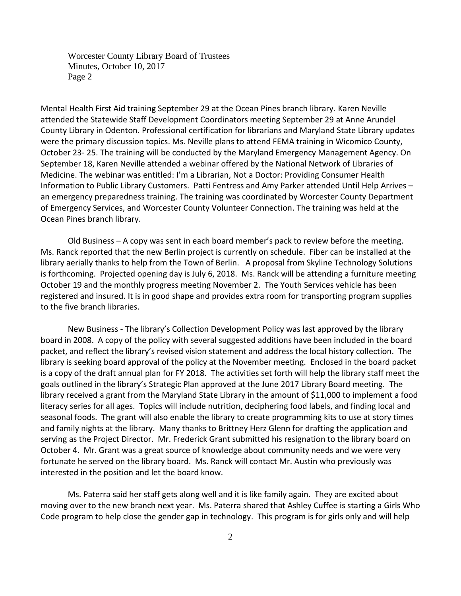Worcester County Library Board of Trustees Minutes, October 10, 2017 Page 2

Mental Health First Aid training September 29 at the Ocean Pines branch library. Karen Neville attended the Statewide Staff Development Coordinators meeting September 29 at Anne Arundel County Library in Odenton. Professional certification for librarians and Maryland State Library updates were the primary discussion topics. Ms. Neville plans to attend FEMA training in Wicomico County, October 23- 25. The training will be conducted by the Maryland Emergency Management Agency. On September 18, Karen Neville attended a webinar offered by the National Network of Libraries of Medicine. The webinar was entitled: I'm a Librarian, Not a Doctor: Providing Consumer Health Information to Public Library Customers. Patti Fentress and Amy Parker attended Until Help Arrives – an emergency preparedness training. The training was coordinated by Worcester County Department of Emergency Services, and Worcester County Volunteer Connection. The training was held at the Ocean Pines branch library.

Old Business – A copy was sent in each board member's pack to review before the meeting. Ms. Ranck reported that the new Berlin project is currently on schedule. Fiber can be installed at the library aerially thanks to help from the Town of Berlin. A proposal from Skyline Technology Solutions is forthcoming. Projected opening day is July 6, 2018. Ms. Ranck will be attending a furniture meeting October 19 and the monthly progress meeting November 2. The Youth Services vehicle has been registered and insured. It is in good shape and provides extra room for transporting program supplies to the five branch libraries.

New Business - The library's Collection Development Policy was last approved by the library board in 2008. A copy of the policy with several suggested additions have been included in the board packet, and reflect the library's revised vision statement and address the local history collection. The library is seeking board approval of the policy at the November meeting. Enclosed in the board packet is a copy of the draft annual plan for FY 2018. The activities set forth will help the library staff meet the goals outlined in the library's Strategic Plan approved at the June 2017 Library Board meeting.The library received a grant from the Maryland State Library in the amount of \$11,000 to implement a food literacy series for all ages. Topics will include nutrition, deciphering food labels, and finding local and seasonal foods. The grant will also enable the library to create programming kits to use at story times and family nights at the library. Many thanks to Brittney Herz Glenn for drafting the application and serving as the Project Director. Mr. Frederick Grant submitted his resignation to the library board on October 4. Mr. Grant was a great source of knowledge about community needs and we were very fortunate he served on the library board. Ms. Ranck will contact Mr. Austin who previously was interested in the position and let the board know.

Ms. Paterra said her staff gets along well and it is like family again. They are excited about moving over to the new branch next year. Ms. Paterra shared that Ashley Cuffee is starting a Girls Who Code program to help close the gender gap in technology. This program is for girls only and will help